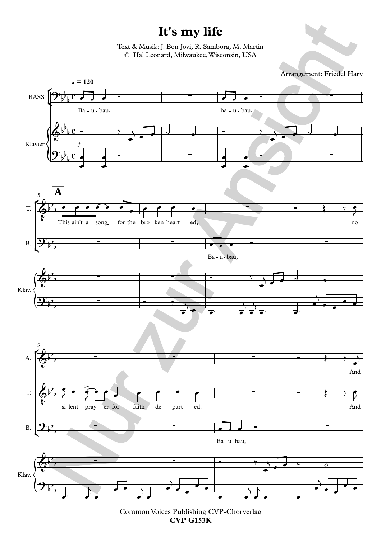## **It's my life**

Text & Musik: J. Bon Jovi, R. Sambora, M. Martin © Hal Leonard, Milwaukee,Wisconsin, USA





Common Voices Publishing CVP-Chorverlag **CVP G153K**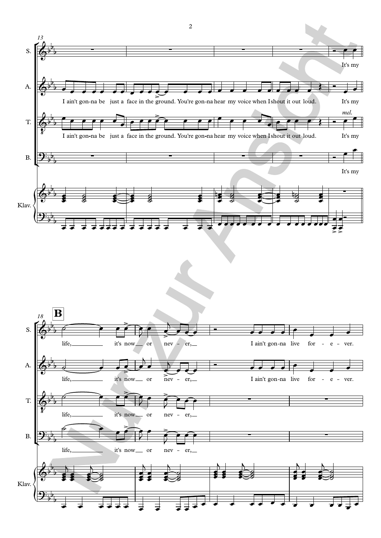



2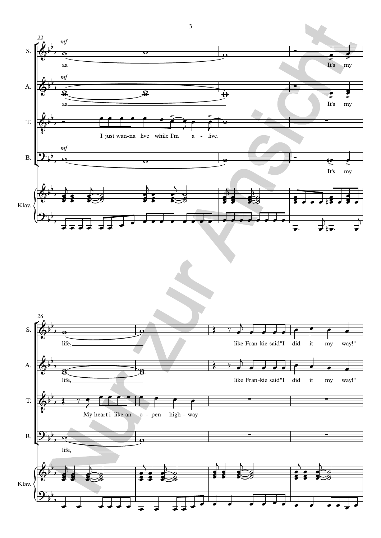

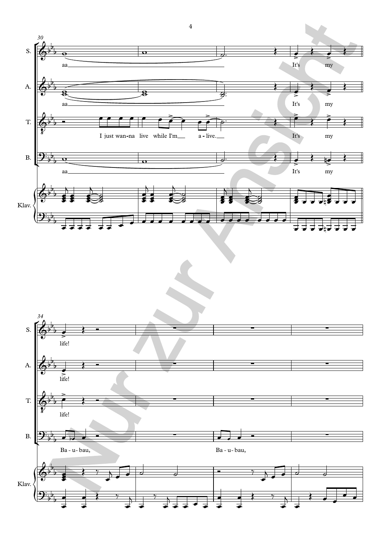

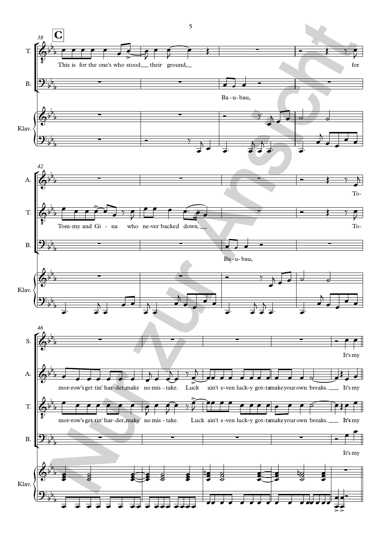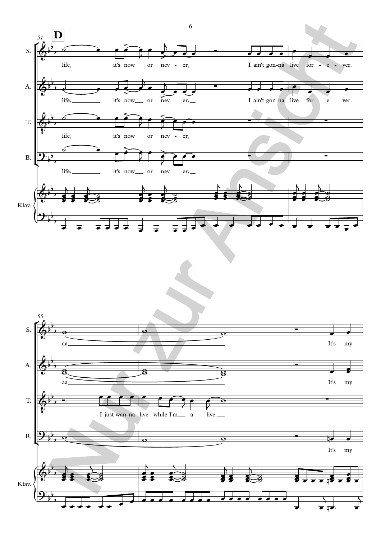

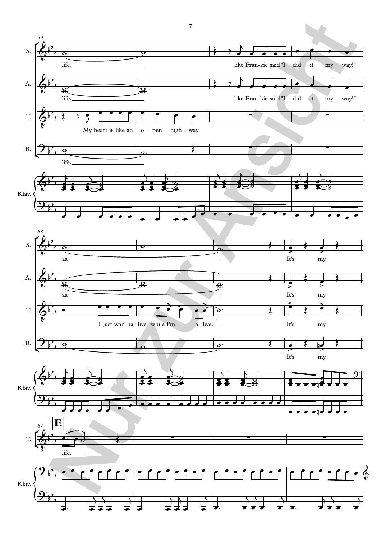